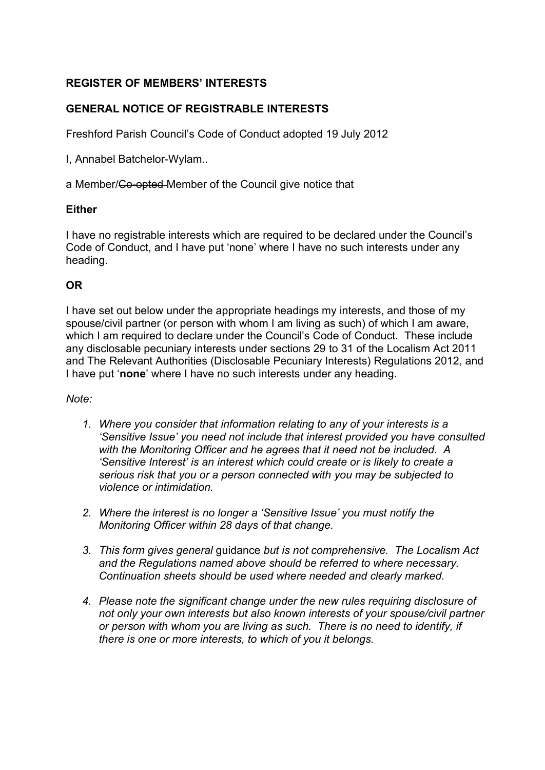# **REGISTER OF MEMBERS' INTERESTS**

## **GENERAL NOTICE OF REGISTRABLE INTERESTS**

Freshford Parish Council's Code of Conduct adopted 19 July 2012

I, Annabel Batchelor-Wylam..

a Member/Co-opted Member of the Council give notice that

### **Either**

I have no registrable interests which are required to be declared under the Council's Code of Conduct, and I have put 'none' where I have no such interests under any heading.

## **OR**

I have set out below under the appropriate headings my interests, and those of my spouse/civil partner (or person with whom I am living as such) of which I am aware, which I am required to declare under the Council's Code of Conduct. These include any disclosable pecuniary interests under sections 29 to 31 of the Localism Act 2011 and The Relevant Authorities (Disclosable Pecuniary Interests) Regulations 2012, and I have put '**none**' where I have no such interests under any heading.

#### *Note:*

- *1. Where you consider that information relating to any of your interests is a 'Sensitive Issue' you need not include that interest provided you have consulted with the Monitoring Officer and he agrees that it need not be included. A 'Sensitive Interest' is an interest which could create or is likely to create a serious risk that you or a person connected with you may be subjected to violence or intimidation.*
- *2. Where the interest is no longer a 'Sensitive Issue' you must notify the Monitoring Officer within 28 days of that change.*
- *3. This form gives general* guidance *but is not comprehensive. The Localism Act and the Regulations named above should be referred to where necessary. Continuation sheets should be used where needed and clearly marked.*
- *4. Please note the significant change under the new rules requiring disclosure of not only your own interests but also known interests of your spouse/civil partner or person with whom you are living as such. There is no need to identify, if there is one or more interests, to which of you it belongs.*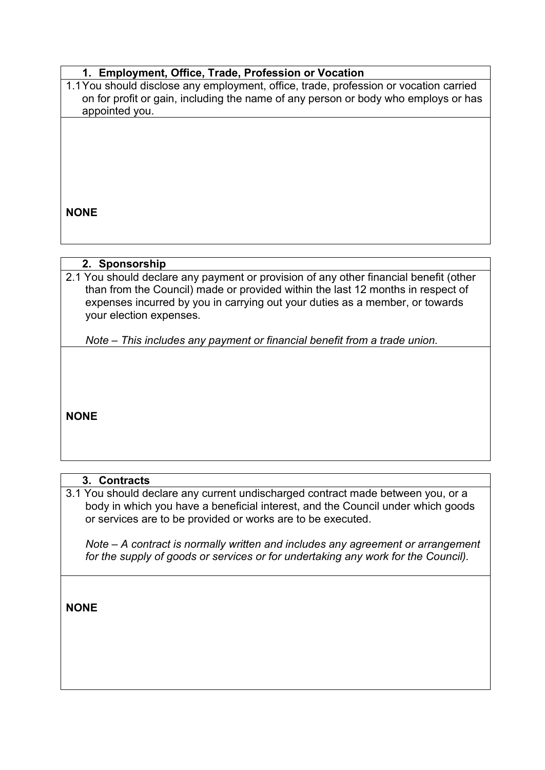## **1. Employment, Office, Trade, Profession or Vocation**

1.1You should disclose any employment, office, trade, profession or vocation carried on for profit or gain, including the name of any person or body who employs or has appointed you.

**NONE**

### **2. Sponsorship**

2.1 You should declare any payment or provision of any other financial benefit (other than from the Council) made or provided within the last 12 months in respect of expenses incurred by you in carrying out your duties as a member, or towards your election expenses.

*Note – This includes any payment or financial benefit from a trade union.*

**NONE**

## **3. Contracts**

3.1 You should declare any current undischarged contract made between you, or a body in which you have a beneficial interest, and the Council under which goods or services are to be provided or works are to be executed.

*Note – A contract is normally written and includes any agreement or arrangement for the supply of goods or services or for undertaking any work for the Council).*

**NONE**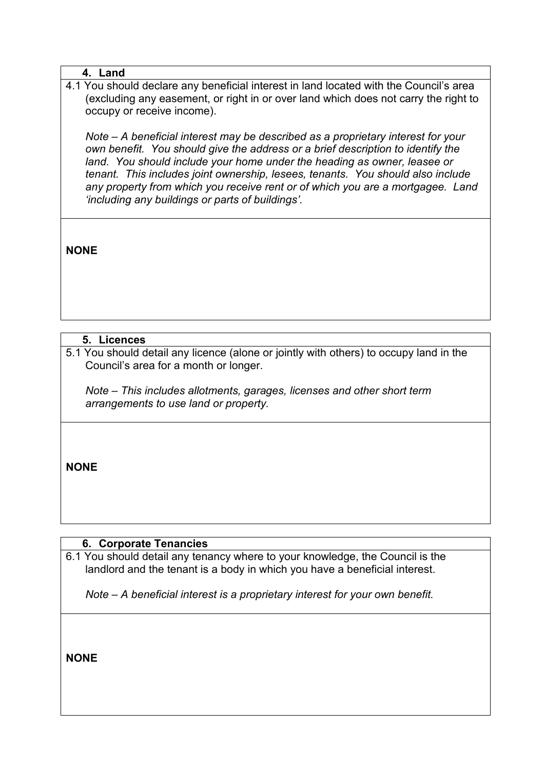### **4. Land**

4.1 You should declare any beneficial interest in land located with the Council's area (excluding any easement, or right in or over land which does not carry the right to occupy or receive income).

*Note – A beneficial interest may be described as a proprietary interest for your own benefit. You should give the address or a brief description to identify the land. You should include your home under the heading as owner, leasee or tenant. This includes joint ownership, lesees, tenants. You should also include any property from which you receive rent or of which you are a mortgagee. Land 'including any buildings or parts of buildings'.*

**NONE**

# **5. Licences**

5.1 You should detail any licence (alone or jointly with others) to occupy land in the Council's area for a month or longer.

*Note – This includes allotments, garages, licenses and other short term arrangements to use land or property.*

**NONE**

# **6. Corporate Tenancies**

6.1 You should detail any tenancy where to your knowledge, the Council is the landlord and the tenant is a body in which you have a beneficial interest.

*Note – A beneficial interest is a proprietary interest for your own benefit.*

**NONE**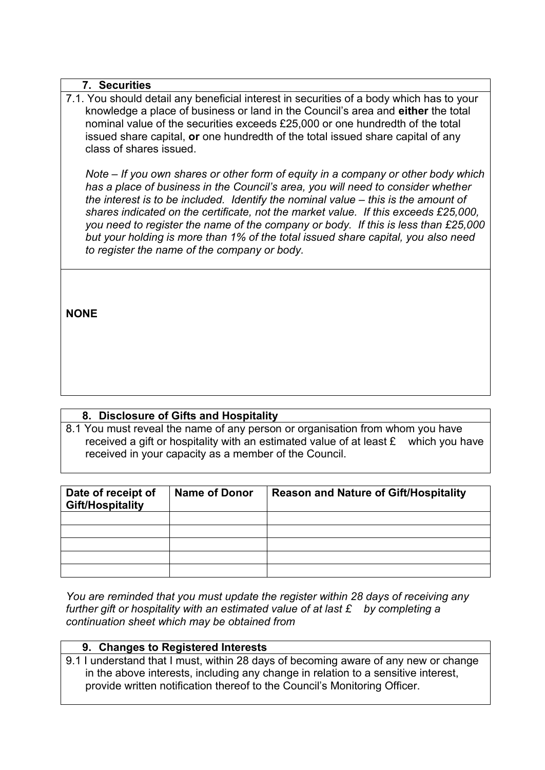#### **7. Securities**

7.1. You should detail any beneficial interest in securities of a body which has to your knowledge a place of business or land in the Council's area and **either** the total nominal value of the securities exceeds £25,000 or one hundredth of the total issued share capital, **or** one hundredth of the total issued share capital of any class of shares issued.

*Note – If you own shares or other form of equity in a company or other body which has a place of business in the Council's area, you will need to consider whether the interest is to be included. Identify the nominal value – this is the amount of shares indicated on the certificate, not the market value. If this exceeds £25,000, you need to register the name of the company or body. If this is less than £25,000 but your holding is more than 1% of the total issued share capital, you also need to register the name of the company or body.*

**NONE**

#### **8. Disclosure of Gifts and Hospitality**

8.1 You must reveal the name of any person or organisation from whom you have received a gift or hospitality with an estimated value of at least £ which you have received in your capacity as a member of the Council.

| Date of receipt of<br><b>Gift/Hospitality</b> | <b>Name of Donor</b> | <b>Reason and Nature of Gift/Hospitality</b> |
|-----------------------------------------------|----------------------|----------------------------------------------|
|                                               |                      |                                              |
|                                               |                      |                                              |
|                                               |                      |                                              |
|                                               |                      |                                              |
|                                               |                      |                                              |

*You are reminded that you must update the register within 28 days of receiving any further gift or hospitality with an estimated value of at last £ by completing a continuation sheet which may be obtained from*

#### **9. Changes to Registered Interests**

9.1 I understand that I must, within 28 days of becoming aware of any new or change in the above interests, including any change in relation to a sensitive interest, provide written notification thereof to the Council's Monitoring Officer.